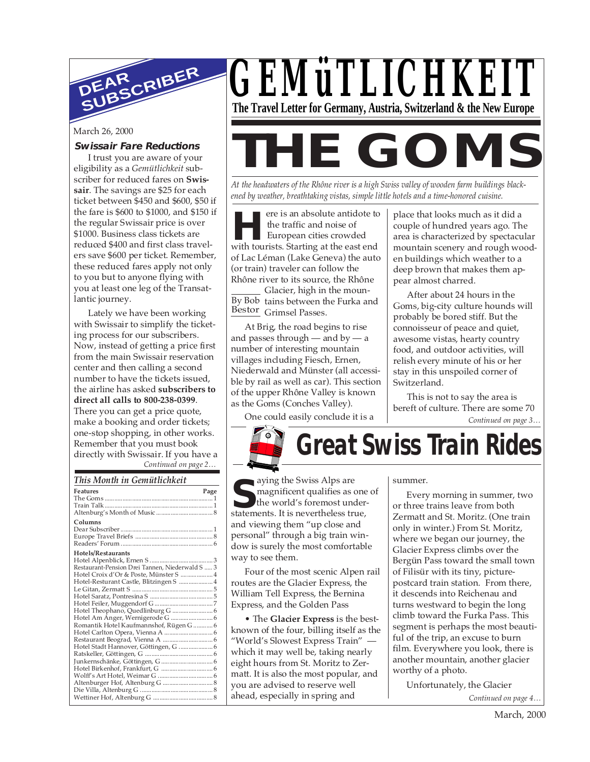

#### **Swissair Fare Reductions**

I trust you are aware of your eligibility as a *Gemütlichkeit* subscriber for reduced fares on **Swissair**. The savings are \$25 for each ticket between \$450 and \$600, \$50 if the fare is \$600 to \$1000, and \$150 if the regular Swissair price is over \$1000. Business class tickets are reduced \$400 and first class travelers save \$600 per ticket. Remember, these reduced fares apply not only to you but to anyone flying with you at least one leg of the Transatlantic journey.

*Continued on page 2…* Lately we have been working with Swissair to simplify the ticketing process for our subscribers. Now, instead of getting a price first from the main Swissair reservation center and then calling a second number to have the tickets issued, the airline has asked **subscribers to direct all calls to 800-238-0399**. There you can get a price quote, make a booking and order tickets; one-stop shopping, in other works. Remember that you must book directly with Swissair. If you have a

#### *This Month in Gemütlichkeit*

| This month in Ochinition.                                                                                                                                                                                                                  |  |
|--------------------------------------------------------------------------------------------------------------------------------------------------------------------------------------------------------------------------------------------|--|
| <b>Features</b><br>Page                                                                                                                                                                                                                    |  |
| Columns                                                                                                                                                                                                                                    |  |
| Hotels/Restaurants<br>Restaurant-Pension Drei Tannen, Niederwald S  3<br>Hotel Croix d'Or & Poste, Münster S  4<br>Hotel-Resturant Castle, Blitzingen S  4<br>Hotel Theophano, Quedlinburg G  6<br>Romantik Hotel Kaufmannshof, Rügen G  6 |  |
|                                                                                                                                                                                                                                            |  |



# March 26, 2000<br> **Swissair Fare Reductions**<br>
I trust you are aware of your<br> **THE GOMS**

*At the headwaters of the Rhône river is a high Swiss valley of wooden farm buildings blackened by weather, breathtaking vistas, simple little hotels and a time-honored cuisine.*

Frank and solute antidote to<br>the traffic and noise of<br>European cities crowded<br>with tourists. Starting at the east end ere is an absolute antidote to the traffic and noise of European cities crowded of Lac Léman (Lake Geneva) the auto (or train) traveler can follow the Rhône river to its source, the Rhône

By Bob tains between the Furka and Bestor<sub>Grimsel Passes.</sub> Glacier, high in the moun-

At Brig, the road begins to rise and passes through — and by —  $a$ number of interesting mountain villages including Fiesch, Ernen, Niederwald and Münster (all accessible by rail as well as car). This section of the upper Rhône Valley is known as the Goms (Conches Valley).

One could easily conclude it is a

place that looks much as it did a couple of hundred years ago. The area is characterized by spectacular mountain scenery and rough wooden buildings which weather to a deep brown that makes them appear almost charred.

After about 24 hours in the Goms, big-city culture hounds will probably be bored stiff. But the connoisseur of peace and quiet, awesome vistas, hearty country food, and outdoor activities, will relish every minute of his or her stay in this unspoiled corner of Switzerland.

*Continued on page 3…* This is not to say the area is bereft of culture. There are some 70

**Great Swiss Train Rides**

aying the Swiss Alps are magnificent qualifies as one of the world's foremost understatements. It is nevertheless true,<br>
statements. It is nevertheless true, and viewing them "up close and personal" through a big train window is surely the most comfortable way to see them.

Four of the most scenic Alpen rail routes are the Glacier Express, the William Tell Express, the Bernina Express, and the Golden Pass

• The **Glacier Express** is the bestknown of the four, billing itself as the "World's Slowest Express Train" which it may well be, taking nearly eight hours from St. Moritz to Zermatt. It is also the most popular, and you are advised to reserve well ahead, especially in spring and

#### summer.

Every morning in summer, two or three trains leave from both Zermatt and St. Moritz. (One train only in winter.) From St. Moritz, where we began our journey, the Glacier Express climbs over the Bergün Pass toward the small town of Filisür with its tiny, picturepostcard train station. From there, it descends into Reichenau and turns westward to begin the long climb toward the Furka Pass. This segment is perhaps the most beautiful of the trip, an excuse to burn film. Everywhere you look, there is another mountain, another glacier worthy of a photo.

Unfortunately, the Glacier

*Continued on page 4…*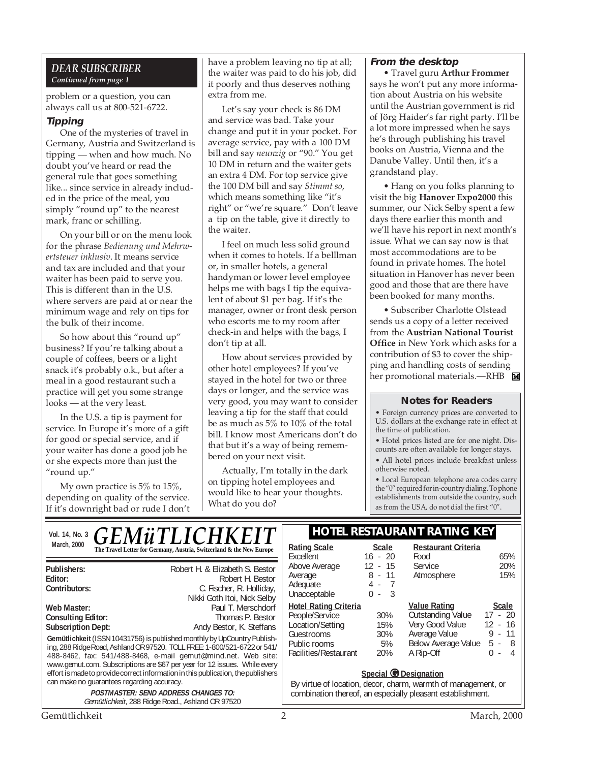#### *DEAR SUBSCRIBER Continued from page 1*

problem or a question, you can always call us at 800-521-6722.

#### **Tipping**

One of the mysteries of travel in Germany, Austria and Switzerland is tipping — when and how much. No doubt you've heard or read the general rule that goes something like... since service in already included in the price of the meal, you simply "round up" to the nearest mark, franc or schilling.

On your bill or on the menu look for the phrase *Bedienung und Mehrwertsteuer inklusiv*. It means service and tax are included and that your waiter has been paid to serve you. This is different than in the U.S. where servers are paid at or near the minimum wage and rely on tips for the bulk of their income.

So how about this "round up" business? If you're talking about a couple of coffees, beers or a light snack it's probably o.k., but after a meal in a good restaurant such a practice will get you some strange looks — at the very least.

In the U.S. a tip is payment for service. In Europe it's more of a gift for good or special service, and if your waiter has done a good job he or she expects more than just the "round up."

My own practice is 5% to 15%, depending on quality of the service. If it's downright bad or rude I don't

have a problem leaving no tip at all; the waiter was paid to do his job, did it poorly and thus deserves nothing extra from me.

Let's say your check is 86 DM and service was bad. Take your change and put it in your pocket. For average service, pay with a 100 DM bill and say *neunzig* or "90." You get 10 DM in return and the waiter gets an extra 4 DM. For top service give the 100 DM bill and say *Stimmt so*, which means something like "it's right" or "we're square." Don't leave a tip on the table, give it directly to the waiter.

I feel on much less solid ground when it comes to hotels. If a belllman or, in smaller hotels, a general handyman or lower level employee helps me with bags I tip the equivalent of about \$1 per bag. If it's the manager, owner or front desk person who escorts me to my room after check-in and helps with the bags, I don't tip at all.

How about services provided by other hotel employees? If you've stayed in the hotel for two or three days or longer, and the service was very good, you may want to consider leaving a tip for the staff that could be as much as 5% to 10% of the total bill. I know most Americans don't do that but it's a way of being remembered on your next visit.

Actually, I'm totally in the dark on tipping hotel employees and would like to hear your thoughts. What do you do?

#### **From the desktop**

• Travel guru **Arthur Frommer** says he won't put any more information about Austria on his website until the Austrian government is rid of Jörg Haider's far right party. I'll be a lot more impressed when he says he's through publishing his travel books on Austria, Vienna and the Danube Valley. Until then, it's a grandstand play.

• Hang on you folks planning to visit the big **Hanover Expo2000** this summer, our Nick Selby spent a few days there earlier this month and we'll have his report in next month's issue. What we can say now is that most accommodations are to be found in private homes. The hotel situation in Hanover has never been good and those that are there have been booked for many months.

• Subscriber Charlotte Olstead sends us a copy of a letter received from the **Austrian National Tourist Office** in New York which asks for a contribution of \$3 to cover the shipping and handling costs of sending her promotional materials.-RHB

#### **Notes for Readers**

• Foreign currency prices are converted to U.S. dollars at the exchange rate in effect at the time of publication.

• Hotel prices listed are for one night. Discounts are often available for longer stays.

• All hotel prices include breakfast unless otherwise noted.

• Local European telephone area codes carry the "0" required for in-country dialing. To phone establishments from outside the country, such as from the USA, do not dial the first "0".

| <i><b>GEMüTLICHKEIT</b></i><br>Vol. 14, No. 3                                                                                                                                                                                                                                                                                                                               |                                                                                                                                                      | <b>HOTEL RESTAURANT RATING KEY</b>                                                                                        |                                                        |                                                                                                                  |                                                                            |
|-----------------------------------------------------------------------------------------------------------------------------------------------------------------------------------------------------------------------------------------------------------------------------------------------------------------------------------------------------------------------------|------------------------------------------------------------------------------------------------------------------------------------------------------|---------------------------------------------------------------------------------------------------------------------------|--------------------------------------------------------|------------------------------------------------------------------------------------------------------------------|----------------------------------------------------------------------------|
| March, 2000<br>The Travel Letter for Germany, Austria, Switzerland & the New Europe                                                                                                                                                                                                                                                                                         |                                                                                                                                                      | <b>Rating Scale</b><br>Excellent                                                                                          | Scale<br>$16 - 20$                                     | <b>Restaurant Criteria</b><br>Food                                                                               | 65%                                                                        |
| Publishers:<br>Editor:<br>Contributors:                                                                                                                                                                                                                                                                                                                                     | Robert H. & Elizabeth S. Bestor<br>Robert H. Bestor<br>C. Fischer, R. Holliday,<br>Nikki Goth Itoi, Nick Selby                                       | Above Average<br>Average<br>Adequate<br>Unacceptable                                                                      | $12 - 15$<br>$8 - 11$<br>$4 -$<br>$\Omega$<br>-3<br>÷. | <b>Service</b><br>Atmosphere                                                                                     | 20%<br>15%                                                                 |
| Web Master:<br><b>Consulting Editor:</b><br><b>Subscription Dept:</b><br>Gemütlichkeit (ISSN 10431756) is published monthly by UpCountry Publish-<br>ing, 288 Ridge Road, Ashland OR 97520. TOLL FREE: 1-800/521-6722 or 541/<br>488-8462, fax: 541/488-8468, e-mail gemut@mind.net. Web site:<br>www.gemut.com. Subscriptions are \$67 per year for 12 issues. While every | Paul T. Merschdorf<br>Thomas P. Bestor<br>Andy Bestor, K. Steffans                                                                                   | <b>Hotel Rating Criteria</b><br>People/Service<br>Location/Setting<br>Guestrooms<br>Public rooms<br>Facilities/Restaurant | 30%<br>15%<br>30%<br>5%<br>20%                         | <b>Value Rating</b><br>Outstanding Value<br>Very Good Value<br>Average Value<br>Below Average Value<br>A Rip-Off | Scale<br>$17 - 20$<br>$12 - 16$<br>11<br>9 -<br>$5 - 8$<br>Δ<br>$\Omega$ - |
| effort is made to provide correct information in this publication, the publishers<br>can make no quarantees regarding accuracy.<br><b>POSTMASTER: SEND ADDRESS CHANGES TO:</b>                                                                                                                                                                                              | Special @ Designation<br>By virtue of location, decor, charm, warmth of management, or<br>combination thereof, an especially pleasant establishment. |                                                                                                                           |                                                        |                                                                                                                  |                                                                            |
| Gemütlichkeit, 288 Ridge Road., Ashland OR 97520<br>Gemütlichkeit                                                                                                                                                                                                                                                                                                           |                                                                                                                                                      | 2                                                                                                                         |                                                        |                                                                                                                  | <b>March</b> , 2000                                                        |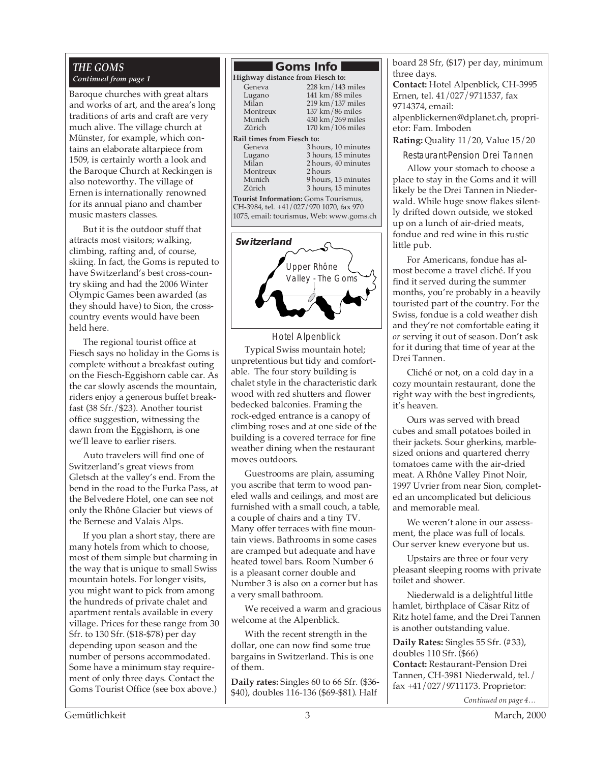#### *THE GOMS Continued from page 1*

Baroque churches with great altars and works of art, and the area's long traditions of arts and craft are very much alive. The village church at Münster, for example, which contains an elaborate altarpiece from 1509, is certainly worth a look and the Baroque Church at Reckingen is also noteworthy. The village of Ernen is internationally renowned for its annual piano and chamber music masters classes.

But it is the outdoor stuff that attracts most visitors; walking, climbing, rafting and, of course, skiing. In fact, the Goms is reputed to have Switzerland's best cross-country skiing and had the 2006 Winter Olympic Games been awarded (as they should have) to Sion, the crosscountry events would have been held here.

The regional tourist office at Fiesch says no holiday in the Goms is complete without a breakfast outing on the Fiesch-Eggishorn cable car. As the car slowly ascends the mountain, riders enjoy a generous buffet breakfast (38 Sfr./\$23). Another tourist office suggestion, witnessing the dawn from the Eggishorn, is one we'll leave to earlier risers.

Auto travelers will find one of Switzerland's great views from Gletsch at the valley's end. From the bend in the road to the Furka Pass, at the Belvedere Hotel, one can see not only the Rhône Glacier but views of the Bernese and Valais Alps.

If you plan a short stay, there are many hotels from which to choose, most of them simple but charming in the way that is unique to small Swiss mountain hotels. For longer visits, you might want to pick from among the hundreds of private chalet and apartment rentals available in every village. Prices for these range from 30 Sfr. to 130 Sfr. (\$18-\$78) per day depending upon season and the number of persons accommodated. Some have a minimum stay requirement of only three days. Contact the Goms Tourist Office (see box above.)

#### **Goms Info Highway distance from Fiesch to:** Geneva 228 km/143 miles<br>Lugano 141 km/88 miles Lugano 141 km/88 miles<br>Milan 219 km/137 miles Milan 219 km/137 miles<br>Montreux 137 km/86 miles Montreux 137 km/86 miles<br>Munich 430 km/269 miles Munich 430 km/269 miles<br>Zürich 170 km/106 miles  $170 \text{ km} / 106 \text{ miles}$ **Rail times from Fiesch to:**<br>Geneva 3 ho Geneva 3 hours, 10 minutes<br>Lugano 3 hours, 15 minutes Lugano 3 hours, 15 minutes 2 hours, 40 minutes Montreux<br>Munich Munich 9 hours, 15 minutes<br>
Zürich 3 hours. 15 minutes 3 hours, 15 minutes **Tourist Information:** Goms Tourismus, CH-3984, tel. +41/027/970 1070, fax 970



1075, email: tourismus, Web: www.goms.ch

Hotel Alpenblick

Typical Swiss mountain hotel; unpretentious but tidy and comfortable. The four story building is chalet style in the characteristic dark wood with red shutters and flower bedecked balconies. Framing the rock-edged entrance is a canopy of climbing roses and at one side of the building is a covered terrace for fine weather dining when the restaurant moves outdoors.

Guestrooms are plain, assuming you ascribe that term to wood paneled walls and ceilings, and most are furnished with a small couch, a table, a couple of chairs and a tiny TV. Many offer terraces with fine mountain views. Bathrooms in some cases are cramped but adequate and have heated towel bars. Room Number 6 is a pleasant corner double and Number 3 is also on a corner but has a very small bathroom.

We received a warm and gracious welcome at the Alpenblick.

With the recent strength in the dollar, one can now find some true bargains in Switzerland. This is one of them.

**Daily rates:** Singles 60 to 66 Sfr. (\$36- \$40), doubles 116-136 (\$69-\$81). Half board 28 Sfr, (\$17) per day, minimum three days.

**Contact:** Hotel Alpenblick, CH-3995 Ernen, tel. 41/027/9711537, fax 9714374, email: alpenblickernen@dplanet.ch, proprietor: Fam. Imboden

**Rating:** Quality 11/20, Value 15/20

Restaurant-Pension Drei Tannen

Allow your stomach to choose a place to stay in the Goms and it will likely be the Drei Tannen in Niederwald. While huge snow flakes silently drifted down outside, we stoked up on a lunch of air-dried meats, fondue and red wine in this rustic little pub.

For Americans, fondue has almost become a travel cliché. If you find it served during the summer months, you're probably in a heavily touristed part of the country. For the Swiss, fondue is a cold weather dish and they're not comfortable eating it *or* serving it out of season. Don't ask for it during that time of year at the Drei Tannen.

Cliché or not, on a cold day in a cozy mountain restaurant, done the right way with the best ingredients, it's heaven.

Ours was served with bread cubes and small potatoes boiled in their jackets. Sour gherkins, marblesized onions and quartered cherry tomatoes came with the air-dried meat. A Rhône Valley Pinot Noir, 1997 Uvrier from near Sion, completed an uncomplicated but delicious and memorable meal.

We weren't alone in our assessment, the place was full of locals. Our server knew everyone but us.

Upstairs are three or four very pleasant sleeping rooms with private toilet and shower.

Niederwald is a delightful little hamlet, birthplace of Cäsar Ritz of Ritz hotel fame, and the Drei Tannen is another outstanding value.

**Daily Rates:** Singles 55 Sfr. (#33), doubles 110 Sfr. (\$66) **Contact:** Restaurant-Pension Drei Tannen, CH-3981 Niederwald, tel./ fax +41/027/9711173. Proprietor:

*Continued on page 4…*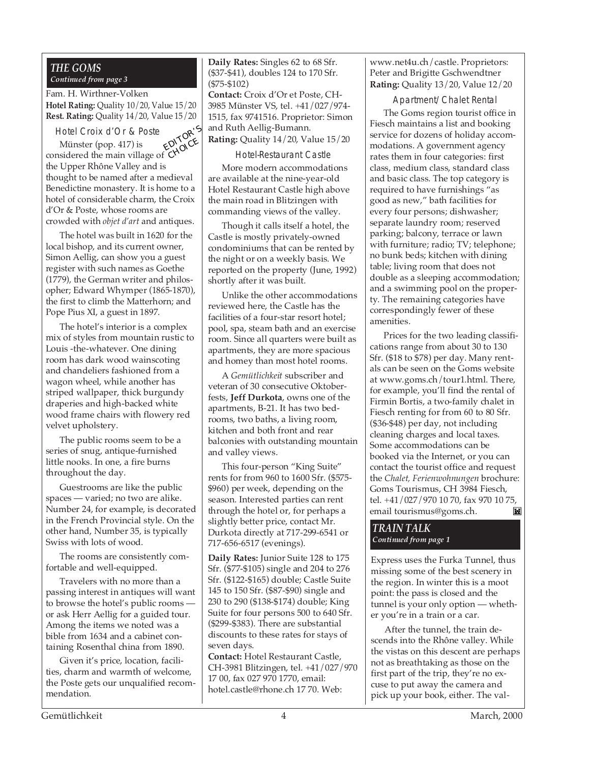#### *THE GOMS Continued from page 3*

Fam. H. Wirthner-Volken **Hotel Rating:** Quality 10/20, Value 15/20 **Rest. Rating:** Quality 14/20, Value 15/20

Hotel Croix d'Or & Poste

Münster (pop. 417) is considered the main village of the Upper Rhône Valley and is thought to be named after a medieval Benedictine monastery. It is home to a hotel of considerable charm, the Croix d'Or & Poste, whose rooms are crowded with *objet d'art* and antiques. EDITOR'<sup>S</sup> **CHOICE** 

The hotel was built in 1620 for the local bishop, and its current owner, Simon Aellig, can show you a guest register with such names as Goethe (1779), the German writer and philosopher; Edward Whymper (1865-1870), the first to climb the Matterhorn; and Pope Pius XI, a guest in 1897.

The hotel's interior is a complex mix of styles from mountain rustic to Louis -the-whatever. One dining room has dark wood wainscoting and chandeliers fashioned from a wagon wheel, while another has striped wallpaper, thick burgundy draperies and high-backed white wood frame chairs with flowery red velvet upholstery.

The public rooms seem to be a series of snug, antique-furnished little nooks. In one, a fire burns throughout the day.

Guestrooms are like the public spaces — varied; no two are alike. Number 24, for example, is decorated in the French Provincial style. On the other hand, Number 35, is typically Swiss with lots of wood.

The rooms are consistently comfortable and well-equipped.

Travelers with no more than a passing interest in antiques will want to browse the hotel's public rooms or ask Herr Aellig for a guided tour. Among the items we noted was a bible from 1634 and a cabinet containing Rosenthal china from 1890.

Given it's price, location, facilities, charm and warmth of welcome, the Poste gets our unqualified recommendation.

Mu (\$37-\$41), doubles 124 to 170 Sfr. **Daily Rates:** Singles 62 to 68 Sfr. (\$75-\$102)

**Contact:** Croix d'Or et Poste, CH-3985 Münster VS, tel. +41/027/974- 1515, fax 9741516. Proprietor: Simon and Ruth Aellig-Bumann. **Rating:** Quality 14/20, Value 15/20

Hotel-Restaurant Castle

More modern accommodations are available at the nine-year-old Hotel Restaurant Castle high above the main road in Blitzingen with commanding views of the valley.

Though it calls itself a hotel, the Castle is mostly privately-owned condominiums that can be rented by the night or on a weekly basis. We reported on the property (June, 1992) shortly after it was built.

Unlike the other accommodations reviewed here, the Castle has the facilities of a four-star resort hotel; pool, spa, steam bath and an exercise room. Since all quarters were built as apartments, they are more spacious and homey than most hotel rooms.

A *Gemütlichkeit* subscriber and veteran of 30 consecutive Oktoberfests, **Jeff Durkota**, owns one of the apartments, B-21. It has two bedrooms, two baths, a living room, kitchen and both front and rear balconies with outstanding mountain and valley views.

This four-person "King Suite" rents for from 960 to 1600 Sfr. (\$575- \$960) per week, depending on the season. Interested parties can rent through the hotel or, for perhaps a slightly better price, contact Mr. Durkota directly at 717-299-6541 or 717-656-6517 (evenings).

**Daily Rates:** Junior Suite 128 to 175 Sfr. (\$77-\$105) single and 204 to 276 Sfr. (\$122-\$165) double; Castle Suite 145 to 150 Sfr. (\$87-\$90) single and 230 to 290 (\$138-\$174) double; King Suite for four persons 500 to 640 Sfr. (\$299-\$383). There are substantial discounts to these rates for stays of seven days.

**Contact:** Hotel Restaurant Castle, CH-3981 Blitzingen, tel. +41/027/970 17 00, fax 027 970 1770, email: hotel.castle@rhone.ch 17 70. Web:

www.net4u.ch/castle. Proprietors: Peter and Brigitte Gschwendtner **Rating:** Quality 13/20, Value 12/20

Apartment/Chalet Rental

The Goms region tourist office in Fiesch maintains a list and booking service for dozens of holiday accommodations. A government agency rates them in four categories: first class, medium class, standard class and basic class. The top category is required to have furnishings "as good as new," bath facilities for every four persons; dishwasher; separate laundry room; reserved parking; balcony, terrace or lawn with furniture; radio; TV; telephone; no bunk beds; kitchen with dining table; living room that does not double as a sleeping accommodation; and a swimming pool on the property. The remaining categories have correspondingly fewer of these amenities.

Prices for the two leading classifications range from about 30 to 130 Sfr. (\$18 to \$78) per day. Many rentals can be seen on the Goms website at www.goms.ch/tour1.html. There, for example, you'll find the rental of Firmin Bortis, a two-family chalet in Fiesch renting for from 60 to 80 Sfr. (\$36-\$48) per day, not including cleaning charges and local taxes. Some accommodations can be booked via the Internet, or you can contact the tourist office and request the *Chalet, Ferienwohnungen* brochure: Goms Tourismus, CH 3984 Fiesch, tel. +41/027/970 10 70, fax 970 10 75, email tourismus@goms.ch.  $\mathbb{M}$ 

*TRAIN TALK Continued from page 1*

Express uses the Furka Tunnel, thus missing some of the best scenery in the region. In winter this is a moot point: the pass is closed and the tunnel is your only option — whether you're in a train or a car.

After the tunnel, the train descends into the Rhône valley. While the vistas on this descent are perhaps not as breathtaking as those on the first part of the trip, they're no excuse to put away the camera and pick up your book, either. The val-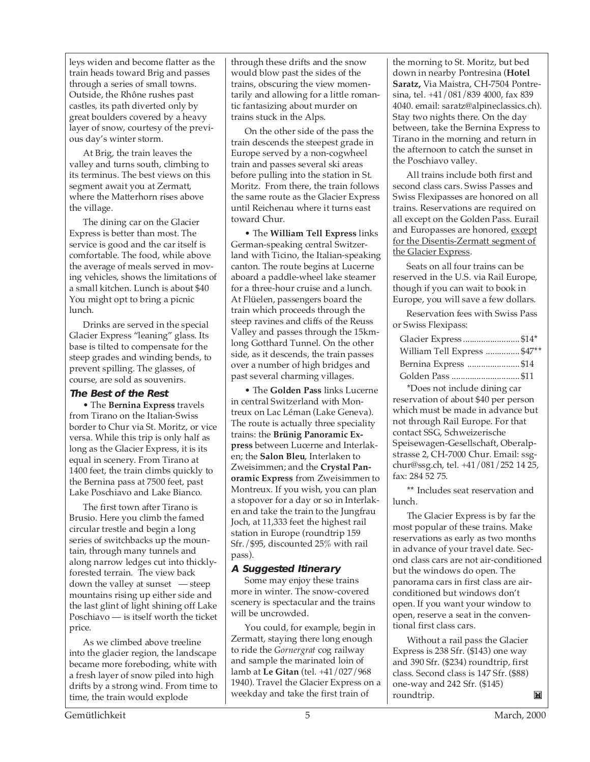leys widen and become flatter as the train heads toward Brig and passes through a series of small towns. Outside, the Rhône rushes past castles, its path diverted only by great boulders covered by a heavy layer of snow, courtesy of the previous day's winter storm.

At Brig, the train leaves the valley and turns south, climbing to its terminus. The best views on this segment await you at Zermatt, where the Matterhorn rises above the village.

The dining car on the Glacier Express is better than most. The service is good and the car itself is comfortable. The food, while above the average of meals served in moving vehicles, shows the limitations of a small kitchen. Lunch is about \$40 You might opt to bring a picnic lunch.

Drinks are served in the special Glacier Express "leaning" glass. Its base is tilted to compensate for the steep grades and winding bends, to prevent spilling. The glasses, of course, are sold as souvenirs.

#### **The Best of the Rest**

• The **Bernina Express** travels from Tirano on the Italian-Swiss border to Chur via St. Moritz, or vice versa. While this trip is only half as long as the Glacier Express, it is its equal in scenery. From Tirano at 1400 feet, the train climbs quickly to the Bernina pass at 7500 feet, past Lake Poschiavo and Lake Bianco.

The first town after Tirano is Brusio. Here you climb the famed circular trestle and begin a long series of switchbacks up the mountain, through many tunnels and along narrow ledges cut into thicklyforested terrain. The view back down the valley at sunset — steep mountains rising up either side and the last glint of light shining off Lake Poschiavo — is itself worth the ticket price.

As we climbed above treeline into the glacier region, the landscape became more foreboding, white with a fresh layer of snow piled into high drifts by a strong wind. From time to time, the train would explode

through these drifts and the snow would blow past the sides of the trains, obscuring the view momentarily and allowing for a little romantic fantasizing about murder on trains stuck in the Alps.

On the other side of the pass the train descends the steepest grade in Europe served by a non-cogwheel train and passes several ski areas before pulling into the station in St. Moritz. From there, the train follows the same route as the Glacier Express until Reichenau where it turns east toward Chur.

• The **William Tell Express** links German-speaking central Switzerland with Ticino, the Italian-speaking canton. The route begins at Lucerne aboard a paddle-wheel lake steamer for a three-hour cruise and a lunch. At Flüelen, passengers board the train which proceeds through the steep ravines and cliffs of the Reuss Valley and passes through the 15kmlong Gotthard Tunnel. On the other side, as it descends, the train passes over a number of high bridges and past several charming villages.

• The **Golden Pass** links Lucerne in central Switzerland with Montreux on Lac Léman (Lake Geneva). The route is actually three speciality trains: the **Brünig Panoramic Express** between Lucerne and Interlaken; the **Salon Bleu**, Interlaken to Zweisimmen; and the **Crystal Panoramic Express** from Zweisimmen to Montreux. If you wish, you can plan a stopover for a day or so in Interlaken and take the train to the Jungfrau Joch, at 11,333 feet the highest rail station in Europe (roundtrip 159 Sfr./\$95, discounted 25% with rail pass).

#### **A Suggested Itinerary**

Some may enjoy these trains more in winter. The snow-covered scenery is spectacular and the trains will be uncrowded.

You could, for example, begin in Zermatt, staying there long enough to ride the *Gornergrat* cog railway and sample the marinated loin of lamb at **Le Gitan** (tel. +41/027/968 1940). Travel the Glacier Express on a weekday and take the first train of

the morning to St. Moritz, but bed down in nearby Pontresina (**Hotel Saratz,** Via Maistra, CH-7504 Pontresina, tel. +41/081/839 4000, fax 839 4040. email: saratz@alpineclassics.ch). Stay two nights there. On the day between, take the Bernina Express to Tirano in the morning and return in the afternoon to catch the sunset in the Poschiavo valley.

All trains include both first and second class cars. Swiss Passes and Swiss Flexipasses are honored on all trains. Reservations are required on all except on the Golden Pass. Eurail and Europasses are honored, except for the Disentis-Zermatt segment of the Glacier Express.

Seats on all four trains can be reserved in the U.S. via Rail Europe, though if you can wait to book in Europe, you will save a few dollars.

Reservation fees with Swiss Pass or Swiss Flexipass:

| Glacier Express\$14*        |  |
|-----------------------------|--|
| William Tell Express \$47** |  |
| Bernina Express \$14        |  |
|                             |  |

**\***Does not include dining car reservation of about \$40 per person which must be made in advance but not through Rail Europe. For that contact SSG, Schweizerische Speisewagen-Gesellschaft, Oberalpstrasse 2, CH-7000 Chur. Email: ssgchur@ssg.ch, tel. +41/081/252 14 25, fax: 284 52 75.

**\*\*** Includes seat reservation and lunch.

The Glacier Express is by far the most popular of these trains. Make reservations as early as two months in advance of your travel date. Second class cars are not air-conditioned but the windows do open. The panorama cars in first class are airconditioned but windows don't open. If you want your window to open, reserve a seat in the conventional first class cars.

Without a rail pass the Glacier Express is 238 Sfr. (\$143) one way and 390 Sfr. (\$234) roundtrip, first class. Second class is 147 Sfr. (\$88) one-way and 242 Sfr. (\$145) roundtrip. $\blacksquare$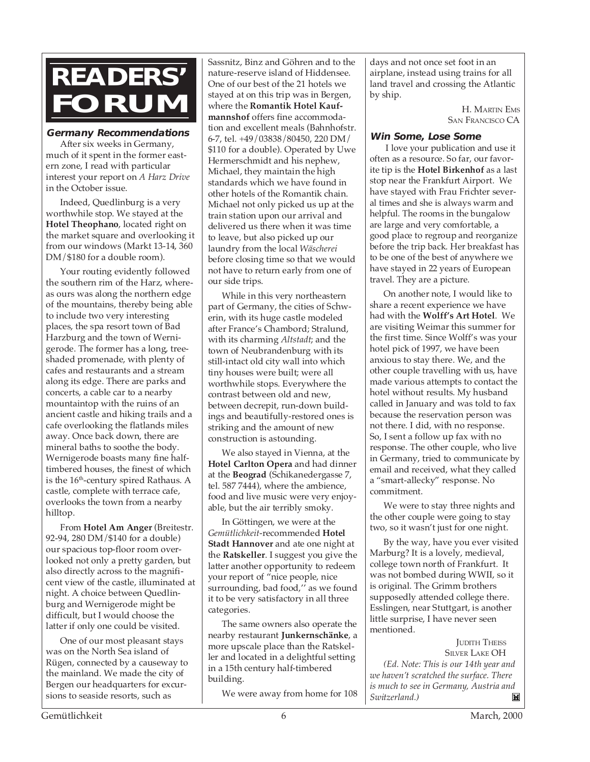### **READERS' FORUM**

#### **Germany Recommendations**

After six weeks in Germany, much of it spent in the former eastern zone, I read with particular interest your report on *A Harz Drive* in the October issue.

Indeed, Quedlinburg is a very worthwhile stop. We stayed at the **Hotel Theophano**, located right on the market square and overlooking it from our windows (Markt 13-14, 360 DM/\$180 for a double room).

Your routing evidently followed the southern rim of the Harz, whereas ours was along the northern edge of the mountains, thereby being able to include two very interesting places, the spa resort town of Bad Harzburg and the town of Wernigerode. The former has a long, treeshaded promenade, with plenty of cafes and restaurants and a stream along its edge. There are parks and concerts, a cable car to a nearby mountaintop with the ruins of an ancient castle and hiking trails and a cafe overlooking the flatlands miles away. Once back down, there are mineral baths to soothe the body. Wernigerode boasts many fine halftimbered houses, the finest of which is the 16<sup>th</sup>-century spired Rathaus. A castle, complete with terrace cafe, overlooks the town from a nearby hilltop.

From **Hotel Am Anger** (Breitestr. 92-94, 280 DM/\$140 for a double) our spacious top-floor room overlooked not only a pretty garden, but also directly across to the magnificent view of the castle, illuminated at night. A choice between Quedlinburg and Wernigerode might be difficult, but I would choose the latter if only one could be visited.

One of our most pleasant stays was on the North Sea island of Rügen, connected by a causeway to the mainland. We made the city of Bergen our headquarters for excursions to seaside resorts, such as

Sassnitz, Binz and Göhren and to the nature-reserve island of Hiddensee. One of our best of the 21 hotels we stayed at on this trip was in Bergen, where the **Romantik Hotel Kaufmannshof** offers fine accommodation and excellent meals (Bahnhofstr. 6-7, tel. +49/03838/80450, 220 DM/ \$110 for a double). Operated by Uwe Hermerschmidt and his nephew, Michael, they maintain the high standards which we have found in other hotels of the Romantik chain. Michael not only picked us up at the train station upon our arrival and delivered us there when it was time to leave, but also picked up our laundry from the local *Wäscherei* before closing time so that we would not have to return early from one of our side trips.

While in this very northeastern part of Germany, the cities of Schwerin, with its huge castle modeled after France's Chambord; Stralund, with its charming *Altstadt*; and the town of Neubrandenburg with its still-intact old city wall into which tiny houses were built; were all worthwhile stops. Everywhere the contrast between old and new, between decrepit, run-down buildings and beautifully-restored ones is striking and the amount of new construction is astounding.

We also stayed in Vienna, at the **Hotel Carlton Opera** and had dinner at the **Beograd** (Schikanedergasse 7, tel. 587 7444), where the ambience, food and live music were very enjoyable, but the air terribly smoky.

In Göttingen, we were at the *Gemütlichkeit*-recommended **Hotel Stadt Hannover** and ate one night at the **Ratskeller**. I suggest you give the latter another opportunity to redeem your report of "nice people, nice surrounding, bad food,'' as we found it to be very satisfactory in all three categories.

The same owners also operate the nearby restaurant **Junkernschänke**, a more upscale place than the Ratskeller and located in a delightful setting in a 15th century half-timbered building.

We were away from home for 108

days and not once set foot in an airplane, instead using trains for all land travel and crossing the Atlantic by ship.

> H. MARTIN EMS SAN FRANCISCO CA

#### **Win Some, Lose Some**

 I love your publication and use it often as a resource. So far, our favorite tip is the **Hotel Birkenhof** as a last stop near the Frankfurt Airport. We have stayed with Frau Frichter several times and she is always warm and helpful. The rooms in the bungalow are large and very comfortable, a good place to regroup and reorganize before the trip back. Her breakfast has to be one of the best of anywhere we have stayed in 22 years of European travel. They are a picture.

On another note, I would like to share a recent experience we have had with the **Wolff's Art Hotel**. We are visiting Weimar this summer for the first time. Since Wolff's was your hotel pick of 1997, we have been anxious to stay there. We, and the other couple travelling with us, have made various attempts to contact the hotel without results. My husband called in January and was told to fax because the reservation person was not there. I did, with no response. So, I sent a follow up fax with no response. The other couple, who live in Germany, tried to communicate by email and received, what they called a "smart-allecky" response. No commitment.

We were to stay three nights and the other couple were going to stay two, so it wasn't just for one night.

By the way, have you ever visited Marburg? It is a lovely, medieval, college town north of Frankfurt. It was not bombed during WWII, so it is original. The Grimm brothers supposedly attended college there. Esslingen, near Stuttgart, is another little surprise, I have never seen mentioned.

JUDITH THEISS SILVER LAKE OH *(Ed. Note: This is our 14th year and we haven't scratched the surface. There is much to see in Germany, Austria and Switzerland.)* $\mathbb{M}$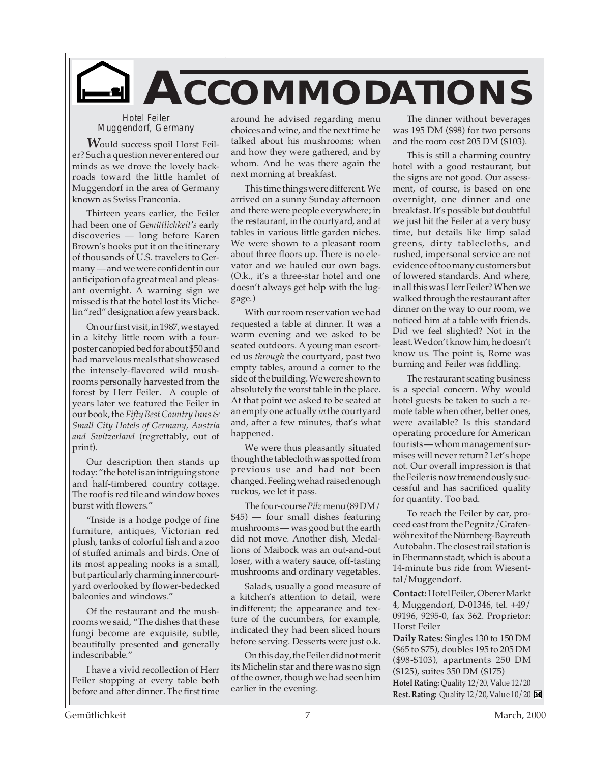

Hotel Feiler Muggendorf, Germany

*W*ould success spoil Horst Feiler? Such a question never entered our minds as we drove the lovely backroads toward the little hamlet of Muggendorf in the area of Germany known as Swiss Franconia.

Thirteen years earlier, the Feiler had been one of *Gemütlichkeit's* early discoveries — long before Karen Brown's books put it on the itinerary of thousands of U.S. travelers to Germany — and we were confident in our anticipation of a great meal and pleasant overnight. A warning sign we missed is that the hotel lost its Michelin "red" designation a few years back.

On our first visit, in 1987, we stayed in a kitchy little room with a fourposter canopied bed for about \$50 and had marvelous meals that showcased the intensely-flavored wild mushrooms personally harvested from the forest by Herr Feiler. A couple of years later we featured the Feiler in our book, the *Fifty Best Country Inns & Small City Hotels of Germany, Austria and Switzerland* (regrettably, out of print).

Our description then stands up today: "the hotel is an intriguing stone and half-timbered country cottage. The roof is red tile and window boxes burst with flowers."

"Inside is a hodge podge of fine furniture, antiques, Victorian red plush, tanks of colorful fish and a zoo of stuffed animals and birds. One of its most appealing nooks is a small, but particularly charming inner courtyard overlooked by flower-bedecked balconies and windows."

Of the restaurant and the mushrooms we said, "The dishes that these fungi become are exquisite, subtle, beautifully presented and generally indescribable."

I have a vivid recollection of Herr Feiler stopping at every table both before and after dinner. The first time

around he advised regarding menu choices and wine, and the next time he talked about his mushrooms; when and how they were gathered, and by whom. And he was there again the next morning at breakfast.

This time things were different. We arrived on a sunny Sunday afternoon and there were people everywhere; in the restaurant, in the courtyard, and at tables in various little garden niches. We were shown to a pleasant room about three floors up. There is no elevator and we hauled our own bags. (O.k., it's a three-star hotel and one doesn't always get help with the luggage.)

With our room reservation we had requested a table at dinner. It was a warm evening and we asked to be seated outdoors. A young man escorted us *through* the courtyard, past two empty tables, around a corner to the side of the building. We were shown to absolutely the worst table in the place. At that point we asked to be seated at an empty one actually *in* the courtyard and, after a few minutes, that's what happened.

We were thus pleasantly situated though the tablecloth was spotted from previous use and had not been changed. Feeling we had raised enough ruckus, we let it pass.

The four-course *Pilz*menu (89 DM/ \$45) — four small dishes featuring mushrooms — was good but the earth did not move. Another dish, Medallions of Maibock was an out-and-out loser, with a watery sauce, off-tasting mushrooms and ordinary vegetables.

Salads, usually a good measure of a kitchen's attention to detail, were indifferent; the appearance and texture of the cucumbers, for example, indicated they had been sliced hours before serving. Desserts were just o.k.

On this day, the Feiler did not merit its Michelin star and there was no sign of the owner, though we had seen him earlier in the evening.

The dinner without beverages was 195 DM (\$98) for two persons and the room cost 205 DM (\$103).

This is still a charming country hotel with a good restaurant, but the signs are not good. Our assessment, of course, is based on one overnight, one dinner and one breakfast. It's possible but doubtful we just hit the Feiler at a very busy time, but details like limp salad greens, dirty tablecloths, and rushed, impersonal service are not evidence of too many customers but of lowered standards. And where, in all this was Herr Feiler? When we walked through the restaurant after dinner on the way to our room, we noticed him at a table with friends. Did we feel slighted? Not in the least. We don't know him, he doesn't know us. The point is, Rome was burning and Feiler was fiddling.

The restaurant seating business is a special concern. Why would hotel guests be taken to such a remote table when other, better ones, were available? Is this standard operating procedure for American tourists — whom management surmises will never return? Let's hope not. Our overall impression is that the Feiler is now tremendously successful and has sacrificed quality for quantity. Too bad.

To reach the Feiler by car, proceed east from the Pegnitz/Grafenwöhr exit of the Nürnberg-Bayreuth Autobahn. The closest rail station is in Ebermannstadt, which is about a 14-minute bus ride from Wiesenttal/Muggendorf.

**Contact:**Hotel Feiler, Oberer Markt 4, Muggendorf, D-01346, tel. +49/ 09196, 9295-0, fax 362. Proprietor: Horst Feiler

**Daily Rates:** Singles 130 to 150 DM (\$65 to \$75), doubles 195 to 205 DM (\$98-\$103), apartments 250 DM (\$125), suites 350 DM (\$175) **Hotel Rating:** Quality 12/20, Value 12/20 **Rest. Rating:** Quality 12/20, Value 10/20